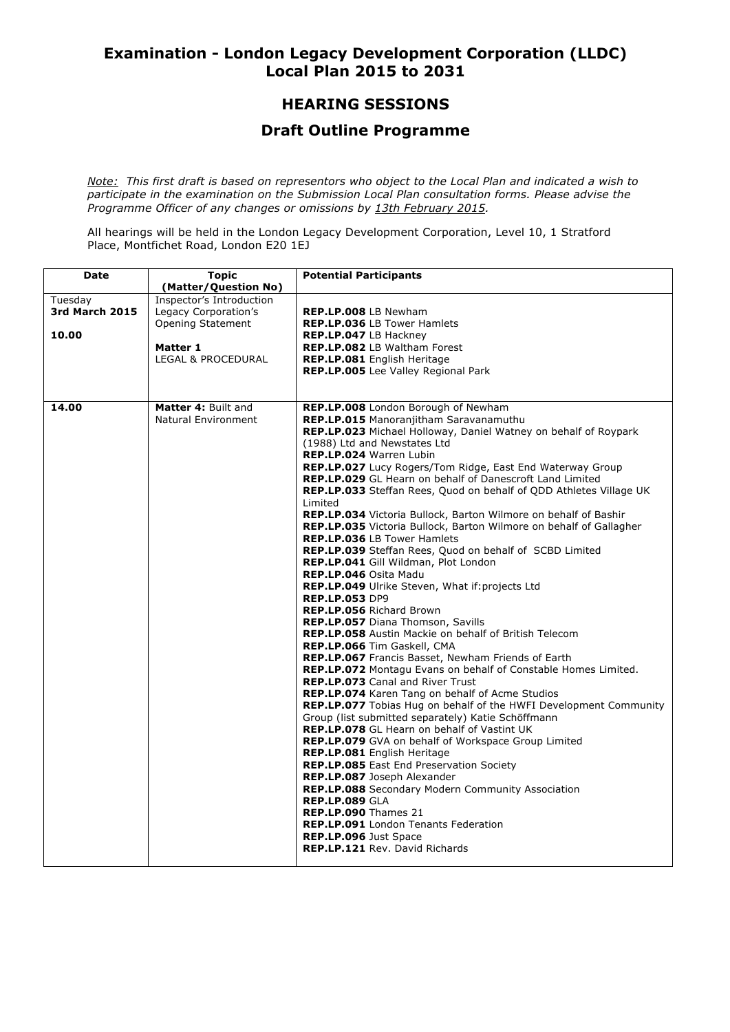## **Examination - London Legacy Development Corporation (LLDC) Local Plan 2015 to 2031**

# **HEARING SESSIONS**

### **Draft Outline Programme**

*Note: This first draft is based on representors who object to the Local Plan and indicated a wish to participate in the examination on the Submission Local Plan consultation forms. Please advise the Programme Officer of any changes or omissions by 13th February 2015.* 

All hearings will be held in the London Legacy Development Corporation, Level 10, 1 Stratford Place, Montfichet Road, London E20 1EJ

| Date                  | <b>Topic</b>             | <b>Potential Participants</b>                                            |
|-----------------------|--------------------------|--------------------------------------------------------------------------|
|                       | (Matter/Question No)     |                                                                          |
| Tuesday               | Inspector's Introduction |                                                                          |
| <b>3rd March 2015</b> | Legacy Corporation's     | <b>REP.LP.008 LB Newham</b>                                              |
|                       | Opening Statement        | REP.LP.036 LB Tower Hamlets                                              |
| 10.00                 |                          | REP.LP.047 LB Hackney                                                    |
|                       | Matter 1                 | REP.LP.082 LB Waltham Forest                                             |
|                       | LEGAL & PROCEDURAL       | REP.LP.081 English Heritage                                              |
|                       |                          | <b>REP.LP.005</b> Lee Valley Regional Park                               |
|                       |                          |                                                                          |
|                       |                          |                                                                          |
| 14.00                 | Matter 4: Built and      | REP.LP.008 London Borough of Newham                                      |
|                       | Natural Environment      | <b>REP.LP.015</b> Manoranjitham Saravanamuthu                            |
|                       |                          | <b>REP.LP.023</b> Michael Holloway, Daniel Watney on behalf of Roypark   |
|                       |                          | (1988) Ltd and Newstates Ltd                                             |
|                       |                          | REP.LP.024 Warren Lubin                                                  |
|                       |                          | REP.LP.027 Lucy Rogers/Tom Ridge, East End Waterway Group                |
|                       |                          | REP.LP.029 GL Hearn on behalf of Danescroft Land Limited                 |
|                       |                          | REP.LP.033 Steffan Rees, Quod on behalf of ODD Athletes Village UK       |
|                       |                          | Limited                                                                  |
|                       |                          | <b>REP.LP.034</b> Victoria Bullock, Barton Wilmore on behalf of Bashir   |
|                       |                          | REP.LP.035 Victoria Bullock, Barton Wilmore on behalf of Gallagher       |
|                       |                          | <b>REP.LP.036 LB Tower Hamlets</b>                                       |
|                       |                          | REP.LP.039 Steffan Rees, Quod on behalf of SCBD Limited                  |
|                       |                          | REP.LP.041 Gill Wildman, Plot London                                     |
|                       |                          | REP.LP.046 Osita Madu                                                    |
|                       |                          | REP.LP.049 Ulrike Steven, What if: projects Ltd                          |
|                       |                          | <b>REP.LP.053 DP9</b>                                                    |
|                       |                          | REP.LP.056 Richard Brown                                                 |
|                       |                          | REP.LP.057 Diana Thomson, Savills                                        |
|                       |                          | <b>REP.LP.058</b> Austin Mackie on behalf of British Telecom             |
|                       |                          | REP.LP.066 Tim Gaskell, CMA                                              |
|                       |                          | REP.LP.067 Francis Basset, Newham Friends of Earth                       |
|                       |                          | REP.LP.072 Montagu Evans on behalf of Constable Homes Limited.           |
|                       |                          | <b>REP.LP.073</b> Canal and River Trust                                  |
|                       |                          | <b>REP.LP.074</b> Karen Tang on behalf of Acme Studios                   |
|                       |                          | <b>REP.LP.077</b> Tobias Hug on behalf of the HWFI Development Community |
|                       |                          | Group (list submitted separately) Katie Schöffmann                       |
|                       |                          | <b>REP.LP.078</b> GL Hearn on behalf of Vastint UK                       |
|                       |                          | <b>REP.LP.079</b> GVA on behalf of Workspace Group Limited               |
|                       |                          | <b>REP.LP.081</b> English Heritage                                       |
|                       |                          | <b>REP.LP.085</b> East End Preservation Society                          |
|                       |                          | REP.LP.087 Joseph Alexander                                              |
|                       |                          | <b>REP.LP.088</b> Secondary Modern Community Association                 |
|                       |                          | <b>REP.LP.089 GLA</b>                                                    |
|                       |                          | REP.LP.090 Thames 21                                                     |
|                       |                          | REP.LP.091 London Tenants Federation                                     |
|                       |                          | <b>REP.LP.096 Just Space</b>                                             |
|                       |                          | <b>REP.LP.121 Rev. David Richards</b>                                    |
|                       |                          |                                                                          |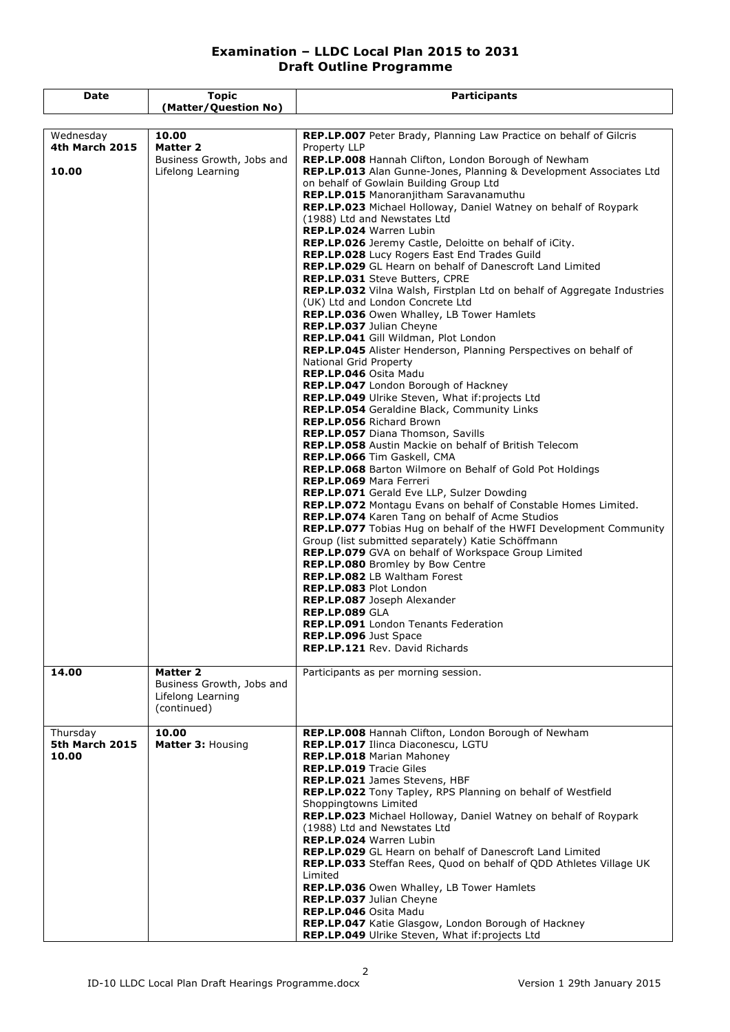| Date                        | <b>Topic</b>              | <b>Participants</b>                                                                                                |
|-----------------------------|---------------------------|--------------------------------------------------------------------------------------------------------------------|
|                             | (Matter/Question No)      |                                                                                                                    |
|                             |                           |                                                                                                                    |
| Wednesday<br>4th March 2015 | 10.00<br><b>Matter 2</b>  | REP.LP.007 Peter Brady, Planning Law Practice on behalf of Gilcris<br>Property LLP                                 |
|                             | Business Growth, Jobs and | REP.LP.008 Hannah Clifton, London Borough of Newham                                                                |
| 10.00                       | Lifelong Learning         | REP.LP.013 Alan Gunne-Jones, Planning & Development Associates Ltd                                                 |
|                             |                           | on behalf of Gowlain Building Group Ltd                                                                            |
|                             |                           | REP.LP.015 Manoranjitham Saravanamuthu                                                                             |
|                             |                           | REP.LP.023 Michael Holloway, Daniel Watney on behalf of Roypark                                                    |
|                             |                           | (1988) Ltd and Newstates Ltd                                                                                       |
|                             |                           | REP.LP.024 Warren Lubin                                                                                            |
|                             |                           | REP.LP.026 Jeremy Castle, Deloitte on behalf of iCity.                                                             |
|                             |                           | REP.LP.028 Lucy Rogers East End Trades Guild                                                                       |
|                             |                           | <b>REP.LP.029</b> GL Hearn on behalf of Danescroft Land Limited                                                    |
|                             |                           | REP.LP.031 Steve Butters, CPRE                                                                                     |
|                             |                           | <b>REP.LP.032</b> Vilna Walsh, Firstplan Ltd on behalf of Aggregate Industries<br>(UK) Ltd and London Concrete Ltd |
|                             |                           | <b>REP.LP.036</b> Owen Whalley, LB Tower Hamlets                                                                   |
|                             |                           | REP.LP.037 Julian Cheyne                                                                                           |
|                             |                           | REP.LP.041 Gill Wildman, Plot London                                                                               |
|                             |                           | REP.LP.045 Alister Henderson, Planning Perspectives on behalf of                                                   |
|                             |                           | National Grid Property                                                                                             |
|                             |                           | <b>REP.LP.046 Osita Madu</b>                                                                                       |
|                             |                           | REP.LP.047 London Borough of Hackney                                                                               |
|                             |                           | REP.LP.049 Ulrike Steven, What if: projects Ltd                                                                    |
|                             |                           | REP.LP.054 Geraldine Black, Community Links                                                                        |
|                             |                           | <b>REP.LP.056 Richard Brown</b>                                                                                    |
|                             |                           | REP.LP.057 Diana Thomson, Savills                                                                                  |
|                             |                           | REP.LP.058 Austin Mackie on behalf of British Telecom                                                              |
|                             |                           | REP.LP.066 Tim Gaskell, CMA                                                                                        |
|                             |                           | REP.LP.068 Barton Wilmore on Behalf of Gold Pot Holdings                                                           |
|                             |                           | <b>REP.LP.069 Mara Ferreri</b><br>REP.LP.071 Gerald Eve LLP, Sulzer Dowding                                        |
|                             |                           | REP.LP.072 Montagu Evans on behalf of Constable Homes Limited.                                                     |
|                             |                           | <b>REP.LP.074</b> Karen Tang on behalf of Acme Studios                                                             |
|                             |                           | <b>REP.LP.077</b> Tobias Hug on behalf of the HWFI Development Community                                           |
|                             |                           | Group (list submitted separately) Katie Schöffmann                                                                 |
|                             |                           | REP.LP.079 GVA on behalf of Workspace Group Limited                                                                |
|                             |                           | REP.LP.080 Bromley by Bow Centre                                                                                   |
|                             |                           | REP.LP.082 LB Waltham Forest                                                                                       |
|                             |                           | <b>REP.LP.083 Plot London</b>                                                                                      |
|                             |                           | REP.LP.087 Joseph Alexander                                                                                        |
|                             |                           | <b>REP.LP.089 GLA</b>                                                                                              |
|                             |                           | <b>REP.LP.091</b> London Tenants Federation                                                                        |
|                             |                           | <b>REP.LP.096</b> Just Space                                                                                       |
|                             |                           | <b>REP.LP.121 Rev. David Richards</b>                                                                              |
|                             | <b>Matter 2</b>           |                                                                                                                    |
| 14.00                       | Business Growth, Jobs and | Participants as per morning session.                                                                               |
|                             | Lifelong Learning         |                                                                                                                    |
|                             | (continued)               |                                                                                                                    |
|                             |                           |                                                                                                                    |
| Thursday                    | 10.00                     | REP.LP.008 Hannah Clifton, London Borough of Newham                                                                |
| 5th March 2015              | Matter 3: Housing         | REP.LP.017 Ilinca Diaconescu, LGTU                                                                                 |
| 10.00                       |                           | REP.LP.018 Marian Mahoney                                                                                          |
|                             |                           | <b>REP.LP.019 Tracie Giles</b>                                                                                     |
|                             |                           | REP.LP.021 James Stevens, HBF                                                                                      |
|                             |                           | REP.LP.022 Tony Tapley, RPS Planning on behalf of Westfield                                                        |
|                             |                           | Shoppingtowns Limited                                                                                              |
|                             |                           | REP.LP.023 Michael Holloway, Daniel Watney on behalf of Roypark                                                    |
|                             |                           | (1988) Ltd and Newstates Ltd                                                                                       |
|                             |                           | REP.LP.024 Warren Lubin                                                                                            |
|                             |                           | REP.LP.029 GL Hearn on behalf of Danescroft Land Limited                                                           |
|                             |                           | <b>REP.LP.033</b> Steffan Rees, Quod on behalf of QDD Athletes Village UK<br>Limited                               |
|                             |                           | REP.LP.036 Owen Whalley, LB Tower Hamlets                                                                          |
|                             |                           | REP.LP.037 Julian Cheyne                                                                                           |
|                             |                           | REP.LP.046 Osita Madu                                                                                              |
|                             |                           | REP.LP.047 Katie Glasgow, London Borough of Hackney                                                                |
|                             |                           | REP.LP.049 Ulrike Steven, What if: projects Ltd                                                                    |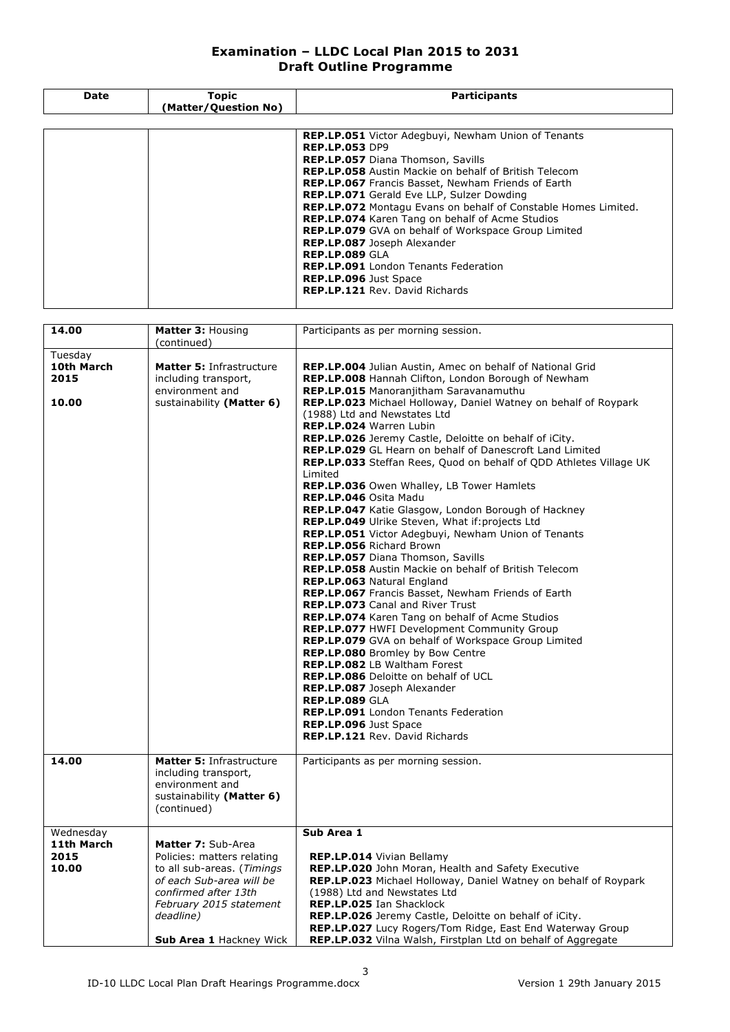| Date | <b>Topic</b><br>(Matter/Question No) | <b>Participants</b>                                                   |
|------|--------------------------------------|-----------------------------------------------------------------------|
|      |                                      |                                                                       |
|      |                                      | <b>REP.LP.051</b> Victor Adegbuyi, Newham Union of Tenants            |
|      |                                      | <b>REP.LP.053 DP9</b>                                                 |
|      |                                      | REP.LP.057 Diana Thomson, Savills                                     |
|      |                                      | <b>REP.LP.058</b> Austin Mackie on behalf of British Telecom          |
|      |                                      | <b>REP.LP.067</b> Francis Basset, Newham Friends of Earth             |
|      |                                      | <b>REP.LP.071</b> Gerald Eve LLP, Sulzer Dowding                      |
|      |                                      | <b>REP.LP.072</b> Montagu Evans on behalf of Constable Homes Limited. |
|      |                                      | <b>REP.LP.074</b> Karen Tang on behalf of Acme Studios                |
|      |                                      | <b>REP.LP.079</b> GVA on behalf of Workspace Group Limited            |
|      |                                      | REP.LP.087 Joseph Alexander                                           |
|      |                                      | REP.LP.089 GLA                                                        |
|      |                                      | <b>REP.LP.091</b> London Tenants Federation                           |
|      |                                      | <b>REP.LP.096</b> Just Space                                          |
|      |                                      | REP.LP.121 Rev. David Richards                                        |

| 14.00                                    | Matter 3: Housing<br>(continued)                                                                                                                                                                             | Participants as per morning session.                                                                                                                                                                                                                                                                                                                                                                                                                                                                                                                                                                                                                                                                                                                                                                                                                                                                                                                                                                                                      |
|------------------------------------------|--------------------------------------------------------------------------------------------------------------------------------------------------------------------------------------------------------------|-------------------------------------------------------------------------------------------------------------------------------------------------------------------------------------------------------------------------------------------------------------------------------------------------------------------------------------------------------------------------------------------------------------------------------------------------------------------------------------------------------------------------------------------------------------------------------------------------------------------------------------------------------------------------------------------------------------------------------------------------------------------------------------------------------------------------------------------------------------------------------------------------------------------------------------------------------------------------------------------------------------------------------------------|
|                                          |                                                                                                                                                                                                              |                                                                                                                                                                                                                                                                                                                                                                                                                                                                                                                                                                                                                                                                                                                                                                                                                                                                                                                                                                                                                                           |
| Tuesday<br>10th March<br>2015<br>10.00   | Matter 5: Infrastructure<br>including transport,<br>environment and<br>sustainability (Matter 6)                                                                                                             | REP.LP.004 Julian Austin, Amec on behalf of National Grid<br>REP.LP.008 Hannah Clifton, London Borough of Newham<br><b>REP.LP.015</b> Manoranjitham Saravanamuthu<br><b>REP.LP.023</b> Michael Holloway, Daniel Watney on behalf of Roypark<br>(1988) Ltd and Newstates Ltd<br>REP.LP.024 Warren Lubin<br>REP.LP.026 Jeremy Castle, Deloitte on behalf of iCity.<br>REP.LP.029 GL Hearn on behalf of Danescroft Land Limited<br><b>REP.LP.033</b> Steffan Rees, Quod on behalf of ODD Athletes Village UK<br>Limited<br>REP.LP.036 Owen Whalley, LB Tower Hamlets<br>REP.LP.046 Osita Madu<br>REP.LP.047 Katie Glasgow, London Borough of Hackney<br>REP.LP.049 Ulrike Steven, What if: projects Ltd<br><b>REP.LP.051</b> Victor Adegbuyi, Newham Union of Tenants<br>REP.LP.056 Richard Brown<br><b>REP.LP.057</b> Diana Thomson, Savills<br><b>REP.LP.058</b> Austin Mackie on behalf of British Telecom<br>REP.LP.063 Natural England<br>REP.LP.067 Francis Basset, Newham Friends of Earth<br><b>REP.LP.073 Canal and River Trust</b> |
|                                          |                                                                                                                                                                                                              | REP.LP.074 Karen Tang on behalf of Acme Studios<br><b>REP.LP.077 HWFI Development Community Group</b><br>REP.LP.079 GVA on behalf of Workspace Group Limited<br>REP.LP.080 Bromley by Bow Centre<br><b>REP.LP.082</b> LB Waltham Forest<br><b>REP.LP.086</b> Deloitte on behalf of UCL<br>REP.LP.087 Joseph Alexander<br><b>REP.LP.089 GLA</b><br><b>REP.LP.091</b> London Tenants Federation<br>REP.LP.096 Just Space<br><b>REP.LP.121 Rev. David Richards</b>                                                                                                                                                                                                                                                                                                                                                                                                                                                                                                                                                                           |
| 14.00                                    | Matter 5: Infrastructure<br>including transport,<br>environment and<br>sustainability (Matter 6)<br>(continued)                                                                                              | Participants as per morning session.                                                                                                                                                                                                                                                                                                                                                                                                                                                                                                                                                                                                                                                                                                                                                                                                                                                                                                                                                                                                      |
| Wednesday<br>11th March<br>2015<br>10.00 | Matter 7: Sub-Area<br>Policies: matters relating<br>to all sub-areas. (Timings<br>of each Sub-area will be<br>confirmed after 13th<br>February 2015 statement<br>deadline)<br><b>Sub Area 1 Hackney Wick</b> | Sub Area 1<br>REP.LP.014 Vivian Bellamy<br>REP.LP.020 John Moran, Health and Safety Executive<br><b>REP.LP.023</b> Michael Holloway, Daniel Watney on behalf of Roypark<br>(1988) Ltd and Newstates Ltd<br>REP.LP.025 Ian Shacklock<br>REP.LP.026 Jeremy Castle, Deloitte on behalf of iCity.<br>REP.LP.027 Lucy Rogers/Tom Ridge, East End Waterway Group<br>REP.LP.032 Vilna Walsh, Firstplan Ltd on behalf of Aggregate                                                                                                                                                                                                                                                                                                                                                                                                                                                                                                                                                                                                                |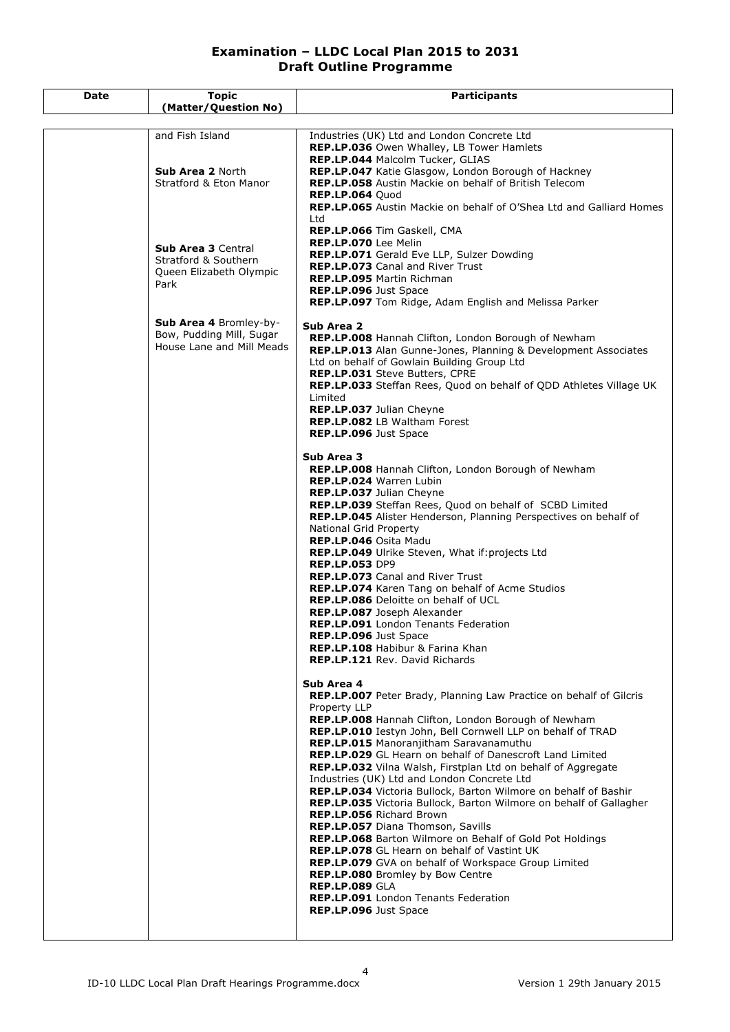| Date | <b>Topic</b>                                                                           | <b>Participants</b>                                                                                                                                                                                                                                                                                                                                                                                                                                                                                                                                                                                                                                                                                                                                                                                                                                                                                                                                                                             |
|------|----------------------------------------------------------------------------------------|-------------------------------------------------------------------------------------------------------------------------------------------------------------------------------------------------------------------------------------------------------------------------------------------------------------------------------------------------------------------------------------------------------------------------------------------------------------------------------------------------------------------------------------------------------------------------------------------------------------------------------------------------------------------------------------------------------------------------------------------------------------------------------------------------------------------------------------------------------------------------------------------------------------------------------------------------------------------------------------------------|
|      | (Matter/Question No)                                                                   |                                                                                                                                                                                                                                                                                                                                                                                                                                                                                                                                                                                                                                                                                                                                                                                                                                                                                                                                                                                                 |
|      | and Fish Island<br><b>Sub Area 2 North</b><br><b>Stratford &amp; Eton Manor</b>        | Industries (UK) Ltd and London Concrete Ltd<br>REP.LP.036 Owen Whalley, LB Tower Hamlets<br>REP.LP.044 Malcolm Tucker, GLIAS<br>REP.LP.047 Katie Glasgow, London Borough of Hackney<br>REP.LP.058 Austin Mackie on behalf of British Telecom<br><b>REP.LP.064 Quod</b><br>REP.LP.065 Austin Mackie on behalf of O'Shea Ltd and Galliard Homes<br>Ltd                                                                                                                                                                                                                                                                                                                                                                                                                                                                                                                                                                                                                                            |
|      | <b>Sub Area 3 Central</b><br>Stratford & Southern<br>Queen Elizabeth Olympic<br>Park   | REP.LP.066 Tim Gaskell, CMA<br>REP.LP.070 Lee Melin<br>REP.LP.071 Gerald Eve LLP, Sulzer Dowding<br>REP.LP.073 Canal and River Trust<br><b>REP.LP.095 Martin Richman</b><br>REP.LP.096 Just Space<br>REP.LP.097 Tom Ridge, Adam English and Melissa Parker                                                                                                                                                                                                                                                                                                                                                                                                                                                                                                                                                                                                                                                                                                                                      |
|      | <b>Sub Area 4 Bromley-by-</b><br>Bow, Pudding Mill, Sugar<br>House Lane and Mill Meads | Sub Area 2<br>REP.LP.008 Hannah Clifton, London Borough of Newham<br>REP.LP.013 Alan Gunne-Jones, Planning & Development Associates<br>Ltd on behalf of Gowlain Building Group Ltd<br><b>REP.LP.031 Steve Butters, CPRE</b><br>REP.LP.033 Steffan Rees, Quod on behalf of QDD Athletes Village UK<br>Limited<br>REP.LP.037 Julian Cheyne<br><b>REP.LP.082</b> LB Waltham Forest<br>REP.LP.096 Just Space<br>Sub Area 3                                                                                                                                                                                                                                                                                                                                                                                                                                                                                                                                                                          |
|      |                                                                                        | REP.LP.008 Hannah Clifton, London Borough of Newham<br><b>REP.LP.024 Warren Lubin</b><br>REP.LP.037 Julian Cheyne<br>REP.LP.039 Steffan Rees, Quod on behalf of SCBD Limited<br>REP.LP.045 Alister Henderson, Planning Perspectives on behalf of<br>National Grid Property<br>REP.LP.046 Osita Madu<br>REP.LP.049 Ulrike Steven, What if: projects Ltd<br><b>REP.LP.053 DP9</b><br><b>REP.LP.073</b> Canal and River Trust<br>REP.LP.074 Karen Tang on behalf of Acme Studios<br><b>REP.LP.086</b> Deloitte on behalf of UCL<br>REP.LP.087 Joseph Alexander<br><b>REP.LP.091</b> London Tenants Federation<br><b>REP.LP.096</b> Just Space<br><b>REP.LP.108</b> Habibur & Farina Khan<br><b>REP.LP.121 Rev. David Richards</b>                                                                                                                                                                                                                                                                  |
|      |                                                                                        | Sub Area 4<br>REP.LP.007 Peter Brady, Planning Law Practice on behalf of Gilcris<br>Property LLP<br>REP.LP.008 Hannah Clifton, London Borough of Newham<br>REP.LP.010 Iestyn John, Bell Cornwell LLP on behalf of TRAD<br>REP.LP.015 Manoranjitham Saravanamuthu<br>REP.LP.029 GL Hearn on behalf of Danescroft Land Limited<br><b>REP.LP.032</b> Vilna Walsh, Firstplan Ltd on behalf of Aggregate<br>Industries (UK) Ltd and London Concrete Ltd<br>REP.LP.034 Victoria Bullock, Barton Wilmore on behalf of Bashir<br>REP.LP.035 Victoria Bullock, Barton Wilmore on behalf of Gallagher<br><b>REP.LP.056 Richard Brown</b><br>REP.LP.057 Diana Thomson, Savills<br><b>REP.LP.068</b> Barton Wilmore on Behalf of Gold Pot Holdings<br>REP.LP.078 GL Hearn on behalf of Vastint UK<br><b>REP.LP.079</b> GVA on behalf of Workspace Group Limited<br><b>REP.LP.080</b> Bromley by Bow Centre<br><b>REP.LP.089 GLA</b><br>REP.LP.091 London Tenants Federation<br><b>REP.LP.096</b> Just Space |